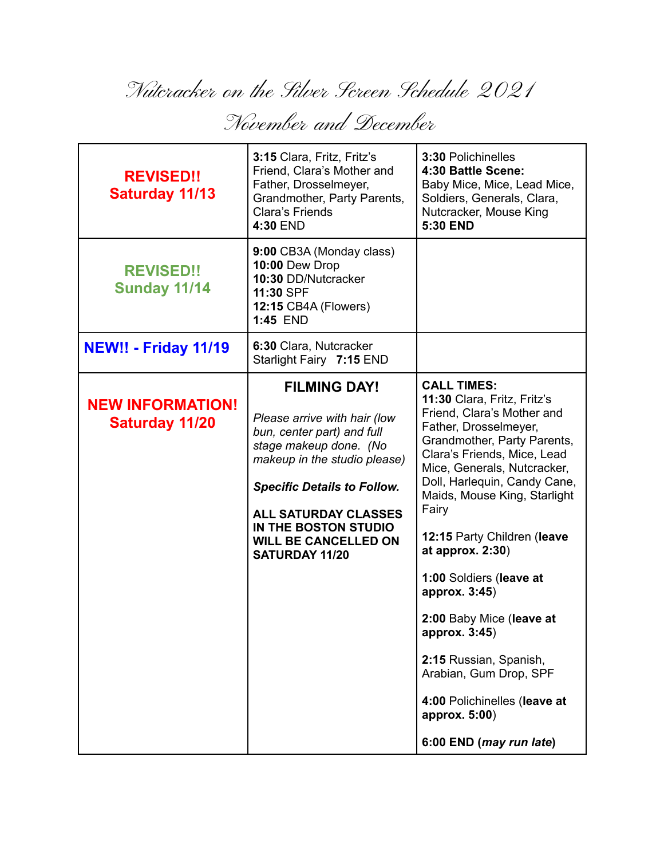Nutcracker on the Silver Screen Schedule 2021

November and December

| <b>REVISED!!</b><br><b>Saturday 11/13</b>        | 3:15 Clara, Fritz, Fritz's<br>Friend, Clara's Mother and<br>Father, Drosselmeyer,<br>Grandmother, Party Parents,<br>Clara's Friends<br>4:30 END                                                                                                                                           | 3:30 Polichinelles<br>4:30 Battle Scene:<br>Baby Mice, Mice, Lead Mice,<br>Soldiers, Generals, Clara,<br>Nutcracker, Mouse King<br>5:30 END                                                                                                                                                                                                                                                                                                                                                                                                                |
|--------------------------------------------------|-------------------------------------------------------------------------------------------------------------------------------------------------------------------------------------------------------------------------------------------------------------------------------------------|------------------------------------------------------------------------------------------------------------------------------------------------------------------------------------------------------------------------------------------------------------------------------------------------------------------------------------------------------------------------------------------------------------------------------------------------------------------------------------------------------------------------------------------------------------|
| <b>REVISED!!</b><br>Sunday 11/14                 | 9:00 CB3A (Monday class)<br>10:00 Dew Drop<br>10:30 DD/Nutcracker<br>11:30 SPF<br><b>12:15 CB4A (Flowers)</b><br><b>1:45 END</b>                                                                                                                                                          |                                                                                                                                                                                                                                                                                                                                                                                                                                                                                                                                                            |
| <b>NEW!! - Friday 11/19</b>                      | 6:30 Clara, Nutcracker<br>Starlight Fairy 7:15 END                                                                                                                                                                                                                                        |                                                                                                                                                                                                                                                                                                                                                                                                                                                                                                                                                            |
| <b>NEW INFORMATION!</b><br><b>Saturday 11/20</b> | <b>FILMING DAY!</b><br>Please arrive with hair (low<br>bun, center part) and full<br>stage makeup done. (No<br>makeup in the studio please)<br><b>Specific Details to Follow.</b><br><b>ALL SATURDAY CLASSES</b><br>IN THE BOSTON STUDIO<br><b>WILL BE CANCELLED ON</b><br>SATURDAY 11/20 | <b>CALL TIMES:</b><br>11:30 Clara, Fritz, Fritz's<br>Friend, Clara's Mother and<br>Father, Drosselmeyer,<br>Grandmother, Party Parents,<br>Clara's Friends, Mice, Lead<br>Mice, Generals, Nutcracker,<br>Doll, Harlequin, Candy Cane,<br>Maids, Mouse King, Starlight<br>Fairy<br>12:15 Party Children (leave<br>at approx. 2:30)<br>1:00 Soldiers (leave at<br>approx. 3:45)<br>2:00 Baby Mice (leave at<br>approx. 3:45)<br>2:15 Russian, Spanish,<br>Arabian, Gum Drop, SPF<br>4:00 Polichinelles (leave at<br>approx. 5:00)<br>6:00 END (may run late) |